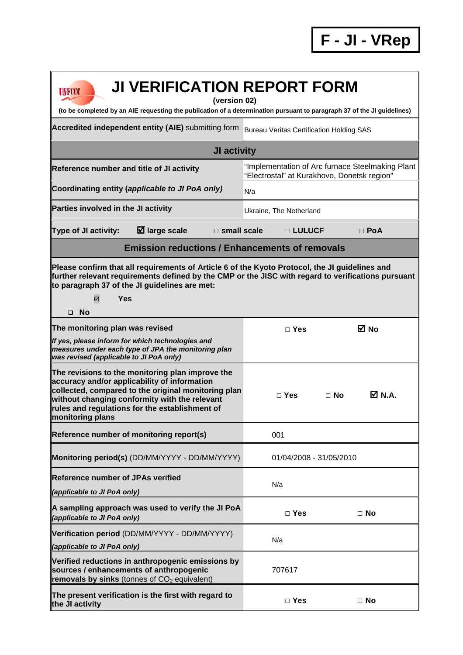| <b>JI VERIFICATION REPORT FORM</b><br><b>UNFCCC</b><br>(version 02)<br>(to be completed by an AIE requesting the publication of a determination pursuant to paragraph 37 of the JI guidelines)                                                                                 |                                                                                                 |                     |  |  |
|--------------------------------------------------------------------------------------------------------------------------------------------------------------------------------------------------------------------------------------------------------------------------------|-------------------------------------------------------------------------------------------------|---------------------|--|--|
| Accredited independent entity (AIE) submitting form                                                                                                                                                                                                                            | <b>Bureau Veritas Certification Holding SAS</b>                                                 |                     |  |  |
| JI activity                                                                                                                                                                                                                                                                    |                                                                                                 |                     |  |  |
| Reference number and title of JI activity                                                                                                                                                                                                                                      | "Implementation of Arc furnace Steelmaking Plant<br>"Electrostal" at Kurakhovo, Donetsk region" |                     |  |  |
| Coordinating entity (applicable to JI PoA only)                                                                                                                                                                                                                                | N/a                                                                                             |                     |  |  |
| Parties involved in the JI activity                                                                                                                                                                                                                                            | Ukraine, The Netherland                                                                         |                     |  |  |
| $\boxtimes$ large scale<br>Type of JI activity:<br>$\square$ small scale                                                                                                                                                                                                       | □ LULUCF                                                                                        | $\Box$ PoA          |  |  |
| <b>Emission reductions / Enhancements of removals</b>                                                                                                                                                                                                                          |                                                                                                 |                     |  |  |
| Please confirm that all requirements of Article 6 of the Kyoto Protocol, the JI guidelines and<br>further relevant requirements defined by the CMP or the JISC with regard to verifications pursuant<br>to paragraph 37 of the JI guidelines are met:<br>Yes<br>☑<br>$\Box$ No |                                                                                                 |                     |  |  |
| The monitoring plan was revised                                                                                                                                                                                                                                                | $\Box$ Yes                                                                                      | ⊠ No                |  |  |
| If yes, please inform for which technologies and<br>measures under each type of JPA the monitoring plan<br>was revised (applicable to JI PoA only)                                                                                                                             |                                                                                                 |                     |  |  |
| The revisions to the monitoring plan improve the<br>accuracy and/or applicability of information<br>collected, compared to the original monitoring plan<br>without changing conformity with the relevant<br>rules and regulations for the establishment of<br>monitoring plans | $\Box$ Yes                                                                                      | M N.A.<br>$\Box$ No |  |  |
| Reference number of monitoring report(s)                                                                                                                                                                                                                                       | 001                                                                                             |                     |  |  |
| Monitoring period(s) (DD/MM/YYYY - DD/MM/YYYY)                                                                                                                                                                                                                                 | 01/04/2008 - 31/05/2010                                                                         |                     |  |  |
| <b>Reference number of JPAs verified</b><br>(applicable to JI PoA only)                                                                                                                                                                                                        | N/a                                                                                             |                     |  |  |
| A sampling approach was used to verify the JI PoA<br>(applicable to JI PoA only)                                                                                                                                                                                               | $\Box$ Yes                                                                                      | $\Box$ No           |  |  |
| Verification period (DD/MM/YYYY - DD/MM/YYYY)<br>(applicable to JI PoA only)                                                                                                                                                                                                   | N/a                                                                                             |                     |  |  |
| Verified reductions in anthropogenic emissions by<br>sources / enhancements of anthropogenic<br>removals by sinks (tonnes of $CO2$ equivalent)                                                                                                                                 | 707617                                                                                          |                     |  |  |
| The present verification is the first with regard to<br>the JI activity                                                                                                                                                                                                        | $\Box$ Yes                                                                                      | $\Box$ No           |  |  |